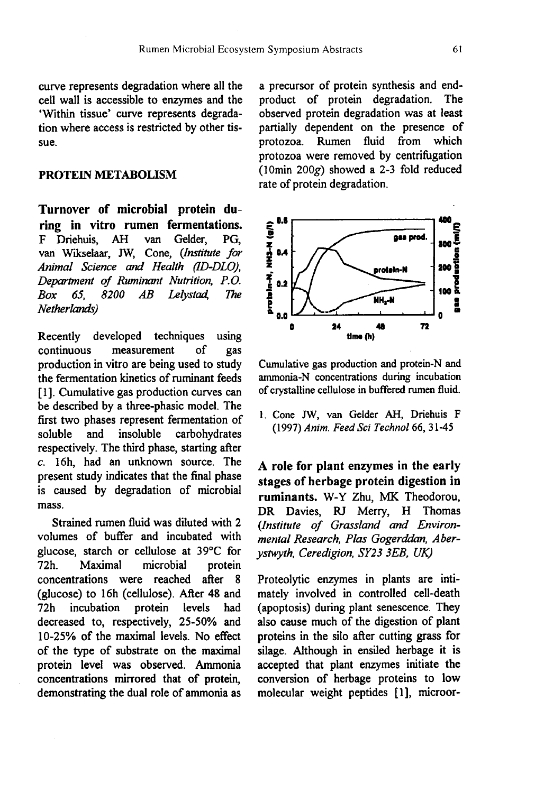curve represents degradation where all the cell wall is accessible to enzymes and the 'Within tissue' curve represents degradation where access is restricted by other tissue.

## PROTEIN METABOLISM

Turnover of microbial protein during in vitro rumen fermentations.<br>F Driehuis. AH van Gelder. PG. F Driehuis, van Wikselaar, JW, Cone, (Institute for Animal Science and Health (ID-DLO), Department of Ruminant Nutrition, P.O. van Wikselaar, JW, Cone, (Institute for<br>Animal Science and Health (ID-DLO),<br>Department of Ruminant Nutrition, P.O.<br>Box 65, 8200 AB Lelystad, The<br>Netherlands) Netherlands)

Recently developed techniques using<br>continuous measurement of gas measurement of gas production in vitro are being used to study the fermentation kinetics of ruminant feeds [1]. Cumulative gas production curves can be described by a three-phasic model. The first two phases represent fermentation of<br>soluble and insoluble carbohydrates soluble and insoluble carbohydrates respectively. The third phase, starting after c. 16h, had an unknown source. The present study indicates that the final phase is caused by degradation of microbial mass.

Strained rumen fluid was diluted with 2 volumes of buffer and incubated with glucose, starch or cellulose at 39°C for Maximal microbial protein concentrations were reached after 8 (glucose) to 16h (cellulose). After 48 and<br>72h incubation protein levels had protein levels decreased to, respectively, 25-50% and 10-25% of the maximal levels. No effect of the type of substrate on the maximal protein level was observed. Ammonia concentrations mirrored that of protein, demonstrating the dual role of ammonia as a precursor of protein synthesis and endproduct of protein degradation. The observed protein degradation was at least partially dependent on the presence of protozoa. Rumen fluid from which protozoa were removed by centrifugation (lOmin 200g) showed a 2-3 fold reduced rate of protein degradation.



Cumulative gas production and protein-N and ammonia-N concentrations during incubation of crystalline cellulose in buffered rumen fluid.

1. Cone JW, van Gelder AH, Driehuis F (1997) Anim. Feed Sci Technol 66, 31-45

A role for plant enzymes in the early stages of herbage protein digestion in ruminants. W-Y Zhu, MK Theodorou. DR Davies, RJ Merry, H Thomas (Institute of Grassland and Environmental Research, Plas Gogerddan, Aberystwyth, Ceredigion, SY23 3EB, UK)

Proteolytic enzymes in plants are intimately involved in controlled cell-death (apoptosis) during plant senescence. They also cause much of the digestion of plant proteins in the silo after cutting grass for silage. Although in ensiled herbage it is accepted that plant enzymes initiate the conversion of herbage proteins to low molecular weight peptides [1], microor